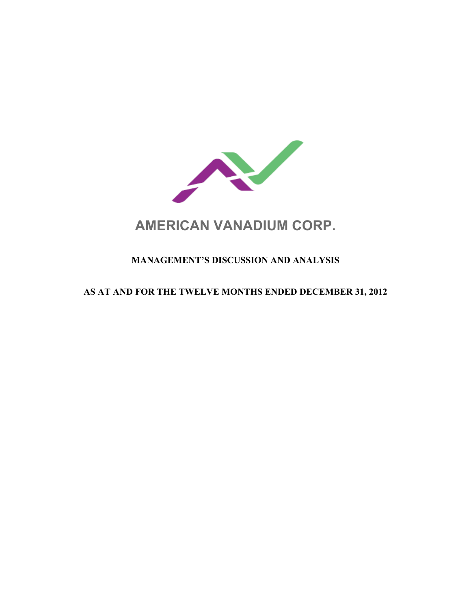

# **AMERICAN VANADIUM CORP.**

# **MANAGEMENT'S DISCUSSION AND ANALYSIS**

## **AS AT AND FOR THE TWELVE MONTHS ENDED DECEMBER 31, 2012**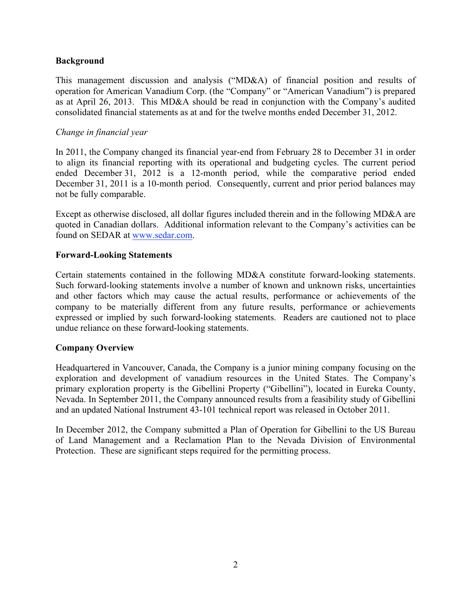## **Background**

This management discussion and analysis ("MD&A) of financial position and results of operation for American Vanadium Corp. (the "Company" or "American Vanadium") is prepared as at April 26, 2013. This MD&A should be read in conjunction with the Company's audited consolidated financial statements as at and for the twelve months ended December 31, 2012.

## *Change in financial year*

In 2011, the Company changed its financial year-end from February 28 to December 31 in order to align its financial reporting with its operational and budgeting cycles. The current period ended December 31, 2012 is a 12-month period, while the comparative period ended December 31, 2011 is a 10-month period. Consequently, current and prior period balances may not be fully comparable.

Except as otherwise disclosed, all dollar figures included therein and in the following MD&A are quoted in Canadian dollars. Additional information relevant to the Company's activities can be found on SEDAR at www.sedar.com.

## **Forward-Looking Statements**

Certain statements contained in the following MD&A constitute forward-looking statements. Such forward-looking statements involve a number of known and unknown risks, uncertainties and other factors which may cause the actual results, performance or achievements of the company to be materially different from any future results, performance or achievements expressed or implied by such forward-looking statements. Readers are cautioned not to place undue reliance on these forward-looking statements.

## **Company Overview**

Headquartered in Vancouver, Canada, the Company is a junior mining company focusing on the exploration and development of vanadium resources in the United States. The Company's primary exploration property is the Gibellini Property ("Gibellini"), located in Eureka County, Nevada. In September 2011, the Company announced results from a feasibility study of Gibellini and an updated National Instrument 43-101 technical report was released in October 2011.

In December 2012, the Company submitted a Plan of Operation for Gibellini to the US Bureau of Land Management and a Reclamation Plan to the Nevada Division of Environmental Protection. These are significant steps required for the permitting process.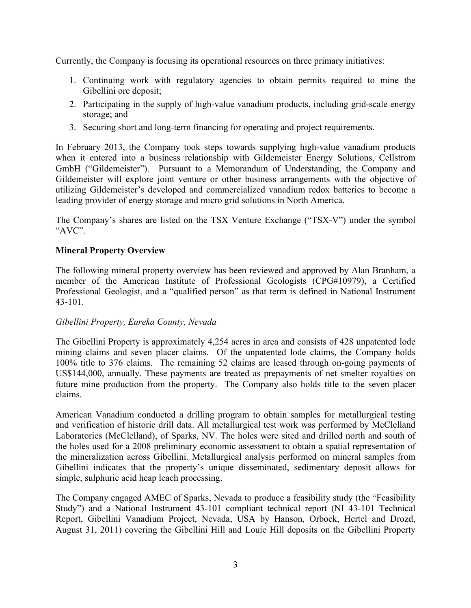Currently, the Company is focusing its operational resources on three primary initiatives:

- 1. Continuing work with regulatory agencies to obtain permits required to mine the Gibellini ore deposit;
- 2. Participating in the supply of high-value vanadium products, including grid-scale energy storage; and
- 3. Securing short and long-term financing for operating and project requirements.

In February 2013, the Company took steps towards supplying high-value vanadium products when it entered into a business relationship with Gildemeister Energy Solutions, Cellstrom GmbH ("Gildemeister"). Pursuant to a Memorandum of Understanding, the Company and Gildemeister will explore joint venture or other business arrangements with the objective of utilizing Gildemeister's developed and commercialized vanadium redox batteries to become a leading provider of energy storage and micro grid solutions in North America.

The Company's shares are listed on the TSX Venture Exchange ("TSX-V") under the symbol "AVC".

## **Mineral Property Overview**

The following mineral property overview has been reviewed and approved by Alan Branham, a member of the American Institute of Professional Geologists (CPG#10979), a Certified Professional Geologist, and a "qualified person" as that term is defined in National Instrument 43-101.

## *Gibellini Property, Eureka County, Nevada*

The Gibellini Property is approximately 4,254 acres in area and consists of 428 unpatented lode mining claims and seven placer claims. Of the unpatented lode claims, the Company holds 100% title to 376 claims. The remaining 52 claims are leased through on-going payments of US\$144,000, annually. These payments are treated as prepayments of net smelter royalties on future mine production from the property. The Company also holds title to the seven placer claims.

American Vanadium conducted a drilling program to obtain samples for metallurgical testing and verification of historic drill data. All metallurgical test work was performed by McClelland Laboratories (McClelland), of Sparks, NV. The holes were sited and drilled north and south of the holes used for a 2008 preliminary economic assessment to obtain a spatial representation of the mineralization across Gibellini. Metallurgical analysis performed on mineral samples from Gibellini indicates that the property's unique disseminated, sedimentary deposit allows for simple, sulphuric acid heap leach processing.

The Company engaged AMEC of Sparks, Nevada to produce a feasibility study (the "Feasibility Study") and a National Instrument 43-101 compliant technical report (NI 43-101 Technical Report, Gibellini Vanadium Project, Nevada, USA by Hanson, Orbock, Hertel and Drozd, August 31, 2011) covering the Gibellini Hill and Louie Hill deposits on the Gibellini Property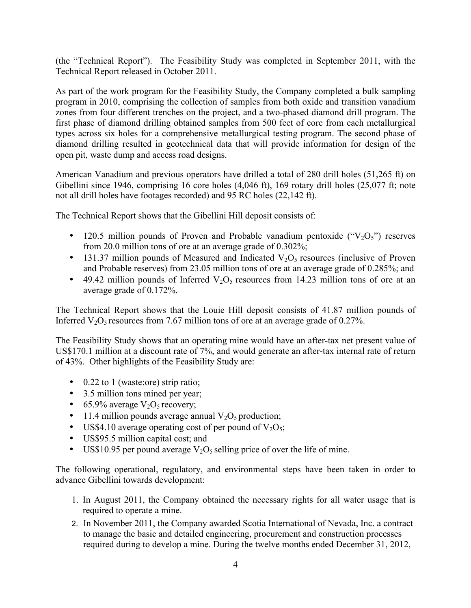(the "Technical Report"). The Feasibility Study was completed in September 2011, with the Technical Report released in October 2011.

As part of the work program for the Feasibility Study, the Company completed a bulk sampling program in 2010, comprising the collection of samples from both oxide and transition vanadium zones from four different trenches on the project, and a two-phased diamond drill program. The first phase of diamond drilling obtained samples from 500 feet of core from each metallurgical types across six holes for a comprehensive metallurgical testing program. The second phase of diamond drilling resulted in geotechnical data that will provide information for design of the open pit, waste dump and access road designs.

American Vanadium and previous operators have drilled a total of 280 drill holes (51,265 ft) on Gibellini since 1946, comprising 16 core holes (4,046 ft), 169 rotary drill holes (25,077 ft; note not all drill holes have footages recorded) and 95 RC holes (22,142 ft).

The Technical Report shows that the Gibellini Hill deposit consists of:

- 120.5 million pounds of Proven and Probable vanadium pentoxide  $("V<sub>2</sub>O<sub>5</sub>")$  reserves from 20.0 million tons of ore at an average grade of 0.302%;
- 131.37 million pounds of Measured and Indicated  $V_2O_5$  resources (inclusive of Proven and Probable reserves) from 23.05 million tons of ore at an average grade of 0.285%; and
- 49.42 million pounds of Inferred  $V_2O_5$  resources from 14.23 million tons of ore at an average grade of 0.172%.

The Technical Report shows that the Louie Hill deposit consists of 41.87 million pounds of Inferred  $V_2O_5$  resources from 7.67 million tons of ore at an average grade of 0.27%.

The Feasibility Study shows that an operating mine would have an after-tax net present value of US\$170.1 million at a discount rate of 7%, and would generate an after-tax internal rate of return of 43%. Other highlights of the Feasibility Study are:

- 0.22 to 1 (waste:ore) strip ratio;
- 3.5 million tons mined per year;
- 65.9% average  $V_2O_5$  recovery;
- 11.4 million pounds average annual  $V_2O_5$  production;
- US\$4.10 average operating cost of per pound of  $V_2O_5$ ;
- US\$95.5 million capital cost; and
- US\$10.95 per pound average  $V_2O_5$  selling price of over the life of mine.

The following operational, regulatory, and environmental steps have been taken in order to advance Gibellini towards development:

- 1. In August 2011, the Company obtained the necessary rights for all water usage that is required to operate a mine.
- 2. In November 2011, the Company awarded Scotia International of Nevada, Inc. a contract to manage the basic and detailed engineering, procurement and construction processes required during to develop a mine. During the twelve months ended December 31, 2012,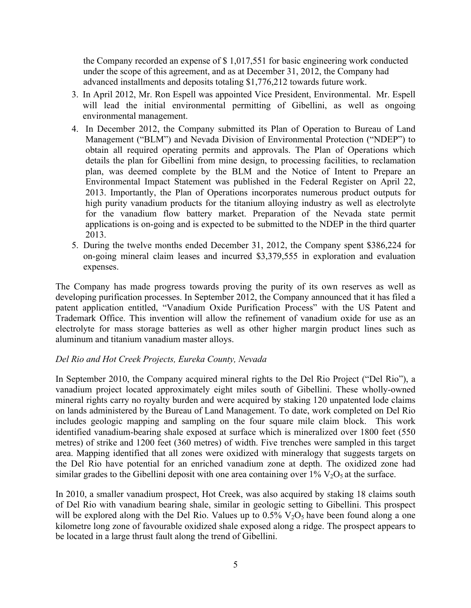the Company recorded an expense of \$ 1,017,551 for basic engineering work conducted under the scope of this agreement, and as at December 31, 2012, the Company had advanced installments and deposits totaling \$1,776,212 towards future work.

- 3. In April 2012, Mr. Ron Espell was appointed Vice President, Environmental. Mr. Espell will lead the initial environmental permitting of Gibellini, as well as ongoing environmental management.
- 4. In December 2012, the Company submitted its Plan of Operation to Bureau of Land Management ("BLM") and Nevada Division of Environmental Protection ("NDEP") to obtain all required operating permits and approvals. The Plan of Operations which details the plan for Gibellini from mine design, to processing facilities, to reclamation plan, was deemed complete by the BLM and the Notice of Intent to Prepare an Environmental Impact Statement was published in the Federal Register on April 22, 2013. Importantly, the Plan of Operations incorporates numerous product outputs for high purity vanadium products for the titanium alloying industry as well as electrolyte for the vanadium flow battery market. Preparation of the Nevada state permit applications is on-going and is expected to be submitted to the NDEP in the third quarter 2013.
- 5. During the twelve months ended December 31, 2012, the Company spent \$386,224 for on-going mineral claim leases and incurred \$3,379,555 in exploration and evaluation expenses.

The Company has made progress towards proving the purity of its own reserves as well as developing purification processes. In September 2012, the Company announced that it has filed a patent application entitled, "Vanadium Oxide Purification Process" with the US Patent and Trademark Office. This invention will allow the refinement of vanadium oxide for use as an electrolyte for mass storage batteries as well as other higher margin product lines such as aluminum and titanium vanadium master alloys.

## *Del Rio and Hot Creek Projects, Eureka County, Nevada*

In September 2010, the Company acquired mineral rights to the Del Rio Project ("Del Rio"), a vanadium project located approximately eight miles south of Gibellini. These wholly-owned mineral rights carry no royalty burden and were acquired by staking 120 unpatented lode claims on lands administered by the Bureau of Land Management. To date, work completed on Del Rio includes geologic mapping and sampling on the four square mile claim block. This work identified vanadium-bearing shale exposed at surface which is mineralized over 1800 feet (550 metres) of strike and 1200 feet (360 metres) of width. Five trenches were sampled in this target area. Mapping identified that all zones were oxidized with mineralogy that suggests targets on the Del Rio have potential for an enriched vanadium zone at depth. The oxidized zone had similar grades to the Gibellini deposit with one area containing over  $1\%$  V<sub>2</sub>O<sub>5</sub> at the surface.

In 2010, a smaller vanadium prospect, Hot Creek, was also acquired by staking 18 claims south of Del Rio with vanadium bearing shale, similar in geologic setting to Gibellini. This prospect will be explored along with the Del Rio. Values up to  $0.5\%$  V<sub>2</sub>O<sub>5</sub> have been found along a one kilometre long zone of favourable oxidized shale exposed along a ridge. The prospect appears to be located in a large thrust fault along the trend of Gibellini.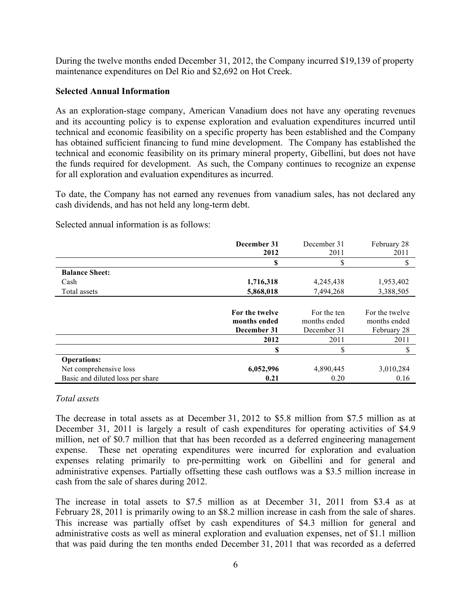During the twelve months ended December 31, 2012, the Company incurred \$19,139 of property maintenance expenditures on Del Rio and \$2,692 on Hot Creek.

#### **Selected Annual Information**

As an exploration-stage company, American Vanadium does not have any operating revenues and its accounting policy is to expense exploration and evaluation expenditures incurred until technical and economic feasibility on a specific property has been established and the Company has obtained sufficient financing to fund mine development. The Company has established the technical and economic feasibility on its primary mineral property, Gibellini, but does not have the funds required for development. As such, the Company continues to recognize an expense for all exploration and evaluation expenditures as incurred.

To date, the Company has not earned any revenues from vanadium sales, has not declared any cash dividends, and has not held any long-term debt.

|                                  | December 31    | December 31  | February 28    |
|----------------------------------|----------------|--------------|----------------|
|                                  | 2012           | 2011         | 2011           |
|                                  | S              | \$           | \$             |
| <b>Balance Sheet:</b>            |                |              |                |
| Cash                             | 1,716,318      | 4,245,438    | 1,953,402      |
| Total assets                     | 5,868,018      | 7,494,268    | 3,388,505      |
|                                  |                |              |                |
|                                  | For the twelve | For the ten  | For the twelve |
|                                  | months ended   | months ended | months ended   |
|                                  | December 31    | December 31  | February 28    |
|                                  | 2012           | 2011         | 2011           |
|                                  | \$             | \$           | \$             |
| <b>Operations:</b>               |                |              |                |
| Net comprehensive loss           | 6,052,996      | 4,890,445    | 3,010,284      |
| Basic and diluted loss per share | 0.21           | 0.20         | 0.16           |

Selected annual information is as follows:

## *Total assets*

The decrease in total assets as at December 31, 2012 to \$5.8 million from \$7.5 million as at December 31, 2011 is largely a result of cash expenditures for operating activities of \$4.9 million, net of \$0.7 million that that has been recorded as a deferred engineering management expense. These net operating expenditures were incurred for exploration and evaluation expenses relating primarily to pre-permitting work on Gibellini and for general and administrative expenses. Partially offsetting these cash outflows was a \$3.5 million increase in cash from the sale of shares during 2012.

The increase in total assets to \$7.5 million as at December 31, 2011 from \$3.4 as at February 28, 2011 is primarily owing to an \$8.2 million increase in cash from the sale of shares. This increase was partially offset by cash expenditures of \$4.3 million for general and administrative costs as well as mineral exploration and evaluation expenses, net of \$1.1 million that was paid during the ten months ended December 31, 2011 that was recorded as a deferred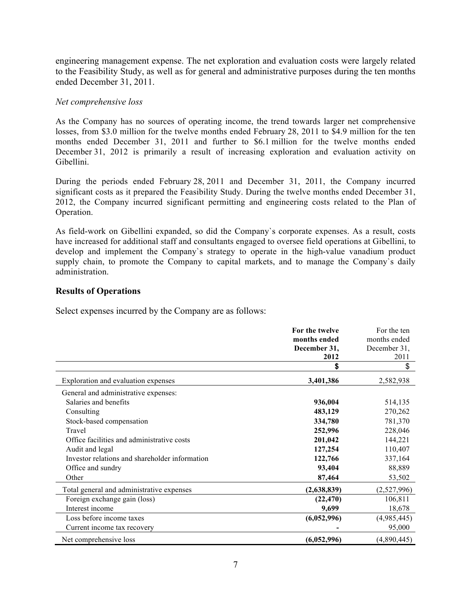engineering management expense. The net exploration and evaluation costs were largely related to the Feasibility Study, as well as for general and administrative purposes during the ten months ended December 31, 2011.

## *Net comprehensive loss*

As the Company has no sources of operating income, the trend towards larger net comprehensive losses, from \$3.0 million for the twelve months ended February 28, 2011 to \$4.9 million for the ten months ended December 31, 2011 and further to \$6.1 million for the twelve months ended December 31, 2012 is primarily a result of increasing exploration and evaluation activity on Gibellini.

During the periods ended February 28, 2011 and December 31, 2011, the Company incurred significant costs as it prepared the Feasibility Study. During the twelve months ended December 31, 2012, the Company incurred significant permitting and engineering costs related to the Plan of Operation.

As field-work on Gibellini expanded, so did the Company`s corporate expenses. As a result, costs have increased for additional staff and consultants engaged to oversee field operations at Gibellini, to develop and implement the Company`s strategy to operate in the high-value vanadium product supply chain, to promote the Company to capital markets, and to manage the Company's daily administration.

## **Results of Operations**

Select expenses incurred by the Company are as follows:

|                                                | For the twelve | For the ten  |
|------------------------------------------------|----------------|--------------|
|                                                | months ended   | months ended |
|                                                | December 31,   | December 31, |
|                                                | 2012           | 2011         |
|                                                | \$             | \$           |
| Exploration and evaluation expenses            | 3,401,386      | 2,582,938    |
| General and administrative expenses:           |                |              |
| Salaries and benefits                          | 936,004        | 514,135      |
| Consulting                                     | 483,129        | 270,262      |
| Stock-based compensation                       | 334,780        | 781,370      |
| Travel                                         | 252,996        | 228,046      |
| Office facilities and administrative costs     | 201,042        | 144,221      |
| Audit and legal                                | 127,254        | 110,407      |
| Investor relations and shareholder information | 122,766        | 337,164      |
| Office and sundry                              | 93,404         | 88,889       |
| Other                                          | 87,464         | 53,502       |
| Total general and administrative expenses      | (2,638,839)    | (2,527,996)  |
| Foreign exchange gain (loss)                   | (22, 470)      | 106,811      |
| Interest income                                | 9,699          | 18,678       |
| Loss before income taxes                       | (6,052,996)    | (4,985,445)  |
| Current income tax recovery                    |                | 95,000       |
| Net comprehensive loss                         | (6,052,996)    | (4,890,445)  |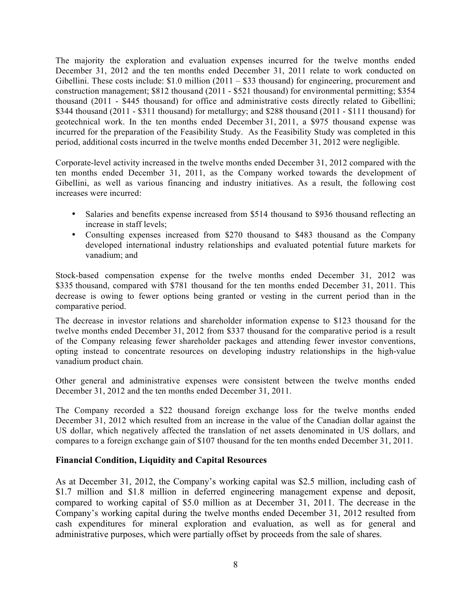The majority the exploration and evaluation expenses incurred for the twelve months ended December 31, 2012 and the ten months ended December 31, 2011 relate to work conducted on Gibellini. These costs include: \$1.0 million (2011 – \$33 thousand) for engineering, procurement and construction management; \$812 thousand (2011 - \$521 thousand) for environmental permitting; \$354 thousand (2011 - \$445 thousand) for office and administrative costs directly related to Gibellini; \$344 thousand (2011 - \$311 thousand) for metallurgy; and \$288 thousand (2011 - \$111 thousand) for geotechnical work. In the ten months ended December 31, 2011, a \$975 thousand expense was incurred for the preparation of the Feasibility Study. As the Feasibility Study was completed in this period, additional costs incurred in the twelve months ended December 31, 2012 were negligible.

Corporate-level activity increased in the twelve months ended December 31, 2012 compared with the ten months ended December 31, 2011, as the Company worked towards the development of Gibellini, as well as various financing and industry initiatives. As a result, the following cost increases were incurred:

- Salaries and benefits expense increased from \$514 thousand to \$936 thousand reflecting an increase in staff levels;
- Consulting expenses increased from \$270 thousand to \$483 thousand as the Company developed international industry relationships and evaluated potential future markets for vanadium; and

Stock-based compensation expense for the twelve months ended December 31, 2012 was \$335 thousand, compared with \$781 thousand for the ten months ended December 31, 2011. This decrease is owing to fewer options being granted or vesting in the current period than in the comparative period.

The decrease in investor relations and shareholder information expense to \$123 thousand for the twelve months ended December 31, 2012 from \$337 thousand for the comparative period is a result of the Company releasing fewer shareholder packages and attending fewer investor conventions, opting instead to concentrate resources on developing industry relationships in the high-value vanadium product chain.

Other general and administrative expenses were consistent between the twelve months ended December 31, 2012 and the ten months ended December 31, 2011.

The Company recorded a \$22 thousand foreign exchange loss for the twelve months ended December 31, 2012 which resulted from an increase in the value of the Canadian dollar against the US dollar, which negatively affected the translation of net assets denominated in US dollars, and compares to a foreign exchange gain of \$107 thousand for the ten months ended December 31, 2011.

## **Financial Condition, Liquidity and Capital Resources**

As at December 31, 2012, the Company's working capital was \$2.5 million, including cash of \$1.7 million and \$1.8 million in deferred engineering management expense and deposit, compared to working capital of \$5.0 million as at December 31, 2011. The decrease in the Company's working capital during the twelve months ended December 31, 2012 resulted from cash expenditures for mineral exploration and evaluation, as well as for general and administrative purposes, which were partially offset by proceeds from the sale of shares.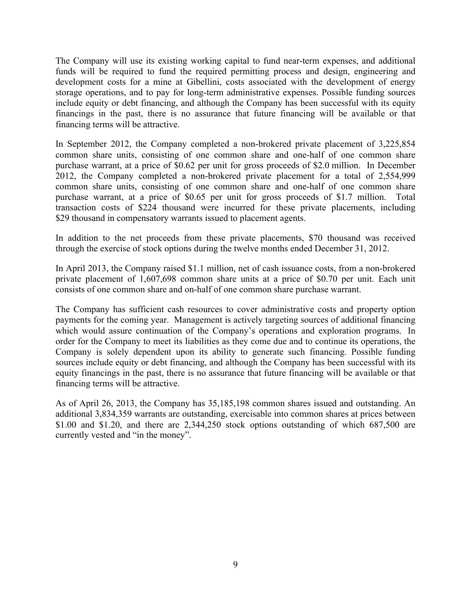The Company will use its existing working capital to fund near-term expenses, and additional funds will be required to fund the required permitting process and design, engineering and development costs for a mine at Gibellini, costs associated with the development of energy storage operations, and to pay for long-term administrative expenses. Possible funding sources include equity or debt financing, and although the Company has been successful with its equity financings in the past, there is no assurance that future financing will be available or that financing terms will be attractive.

In September 2012, the Company completed a non-brokered private placement of 3,225,854 common share units, consisting of one common share and one-half of one common share purchase warrant, at a price of \$0.62 per unit for gross proceeds of \$2.0 million. In December 2012, the Company completed a non-brokered private placement for a total of 2,554,999 common share units, consisting of one common share and one-half of one common share purchase warrant, at a price of \$0.65 per unit for gross proceeds of \$1.7 million. Total transaction costs of \$224 thousand were incurred for these private placements, including \$29 thousand in compensatory warrants issued to placement agents.

In addition to the net proceeds from these private placements, \$70 thousand was received through the exercise of stock options during the twelve months ended December 31, 2012.

In April 2013, the Company raised \$1.1 million, net of cash issuance costs, from a non-brokered private placement of 1,607,698 common share units at a price of \$0.70 per unit. Each unit consists of one common share and on-half of one common share purchase warrant.

The Company has sufficient cash resources to cover administrative costs and property option payments for the coming year. Management is actively targeting sources of additional financing which would assure continuation of the Company's operations and exploration programs. In order for the Company to meet its liabilities as they come due and to continue its operations, the Company is solely dependent upon its ability to generate such financing. Possible funding sources include equity or debt financing, and although the Company has been successful with its equity financings in the past, there is no assurance that future financing will be available or that financing terms will be attractive.

As of April 26, 2013, the Company has 35,185,198 common shares issued and outstanding. An additional 3,834,359 warrants are outstanding, exercisable into common shares at prices between \$1.00 and \$1.20, and there are 2,344,250 stock options outstanding of which 687,500 are currently vested and "in the money".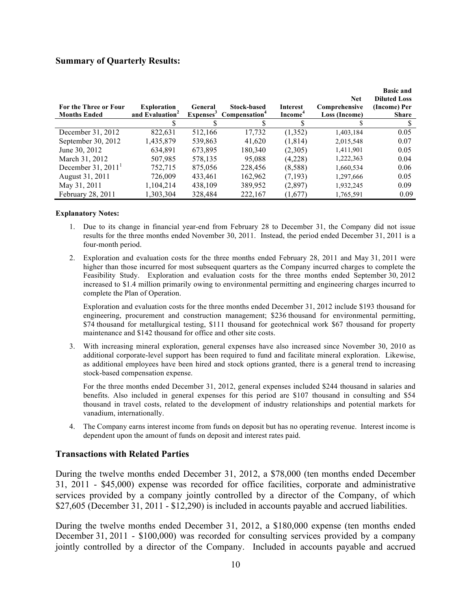#### **Summary of Quarterly Results:**

| <b>For the Three or Four</b><br><b>Months Ended</b> | <b>Exploration</b><br>and Evaluation <sup>2</sup> | General | <b>Stock-based</b><br>Expenses <sup>3</sup> Compensation <sup>4</sup> | <b>Interest</b><br>Income <sup>4</sup> | <b>Net</b><br>Comprehensive<br>Loss (Income) | <b>Basic and</b><br><b>Diluted Loss</b><br>(Income) Per<br><b>Share</b> |
|-----------------------------------------------------|---------------------------------------------------|---------|-----------------------------------------------------------------------|----------------------------------------|----------------------------------------------|-------------------------------------------------------------------------|
|                                                     |                                                   |         |                                                                       |                                        |                                              |                                                                         |
| December 31, 2012                                   | 822,631                                           | 512,166 | 17,732                                                                | (1,352)                                | 1,403,184                                    | 0.05                                                                    |
| September 30, 2012                                  | 1,435,879                                         | 539,863 | 41,620                                                                | (1, 814)                               | 2,015,548                                    | 0.07                                                                    |
| June 30, 2012                                       | 634.891                                           | 673,895 | 180,340                                                               | (2,305)                                | 1,411,901                                    | 0.05                                                                    |
| March 31, 2012                                      | 507,985                                           | 578,135 | 95,088                                                                | (4,228)                                | 1,222,363                                    | 0.04                                                                    |
| December $31, 2011$ <sup>1</sup>                    | 752,715                                           | 875,056 | 228,456                                                               | (8,588)                                | 1,660,534                                    | 0.06                                                                    |
| August 31, 2011                                     | 726,009                                           | 433.461 | 162,962                                                               | (7,193)                                | 1,297,666                                    | 0.05                                                                    |
| May 31, 2011                                        | 1,104,214                                         | 438,109 | 389,952                                                               | (2,897)                                | 1,932,245                                    | 0.09                                                                    |
| February 28, 2011                                   | 1,303,304                                         | 328,484 | 222,167                                                               | (1,677)                                | 1,765,591                                    | 0.09                                                                    |

#### **Explanatory Notes:**

- 1. Due to its change in financial year-end from February 28 to December 31, the Company did not issue results for the three months ended November 30, 2011. Instead, the period ended December 31, 2011 is a four-month period.
- 2. Exploration and evaluation costs for the three months ended February 28, 2011 and May 31, 2011 were higher than those incurred for most subsequent quarters as the Company incurred charges to complete the Feasibility Study. Exploration and evaluation costs for the three months ended September 30, 2012 increased to \$1.4 million primarily owing to environmental permitting and engineering charges incurred to complete the Plan of Operation.

Exploration and evaluation costs for the three months ended December 31, 2012 include \$193 thousand for engineering, procurement and construction management; \$236 thousand for environmental permitting, \$74 thousand for metallurgical testing, \$111 thousand for geotechnical work \$67 thousand for property maintenance and \$142 thousand for office and other site costs.

3. With increasing mineral exploration, general expenses have also increased since November 30, 2010 as additional corporate-level support has been required to fund and facilitate mineral exploration. Likewise, as additional employees have been hired and stock options granted, there is a general trend to increasing stock-based compensation expense.

For the three months ended December 31, 2012, general expenses included \$244 thousand in salaries and benefits. Also included in general expenses for this period are \$107 thousand in consulting and \$54 thousand in travel costs, related to the development of industry relationships and potential markets for vanadium, internationally.

4. The Company earns interest income from funds on deposit but has no operating revenue. Interest income is dependent upon the amount of funds on deposit and interest rates paid.

#### **Transactions with Related Parties**

During the twelve months ended December 31, 2012, a \$78,000 (ten months ended December 31, 2011 - \$45,000) expense was recorded for office facilities, corporate and administrative services provided by a company jointly controlled by a director of the Company, of which \$27,605 (December 31, 2011 - \$12,290) is included in accounts payable and accrued liabilities.

During the twelve months ended December 31, 2012, a \$180,000 expense (ten months ended December 31, 2011 - \$100,000) was recorded for consulting services provided by a company jointly controlled by a director of the Company. Included in accounts payable and accrued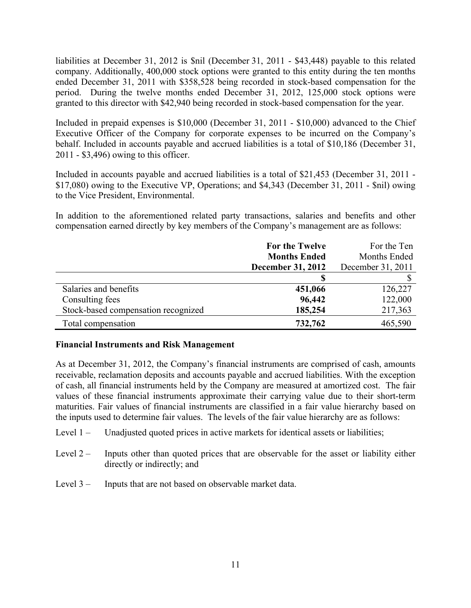liabilities at December 31, 2012 is \$nil (December 31, 2011 - \$43,448) payable to this related company. Additionally, 400,000 stock options were granted to this entity during the ten months ended December 31, 2011 with \$358,528 being recorded in stock-based compensation for the period. During the twelve months ended December 31, 2012, 125,000 stock options were granted to this director with \$42,940 being recorded in stock-based compensation for the year.

Included in prepaid expenses is \$10,000 (December 31, 2011 - \$10,000) advanced to the Chief Executive Officer of the Company for corporate expenses to be incurred on the Company's behalf. Included in accounts payable and accrued liabilities is a total of \$10,186 (December 31, 2011 - \$3,496) owing to this officer.

Included in accounts payable and accrued liabilities is a total of \$21,453 (December 31, 2011 - \$17,080) owing to the Executive VP, Operations; and \$4,343 (December 31, 2011 - \$nil) owing to the Vice President, Environmental.

In addition to the aforementioned related party transactions, salaries and benefits and other compensation earned directly by key members of the Company's management are as follows:

|                                     | For the Twelve           | For the Ten       |
|-------------------------------------|--------------------------|-------------------|
|                                     | <b>Months Ended</b>      | Months Ended      |
|                                     | <b>December 31, 2012</b> | December 31, 2011 |
|                                     |                          |                   |
| Salaries and benefits               | 451,066                  | 126,227           |
| Consulting fees                     | 96,442                   | 122,000           |
| Stock-based compensation recognized | 185,254                  | 217,363           |
| Total compensation                  | 732,762                  | 465,590           |

## **Financial Instruments and Risk Management**

As at December 31, 2012, the Company's financial instruments are comprised of cash, amounts receivable, reclamation deposits and accounts payable and accrued liabilities. With the exception of cash, all financial instruments held by the Company are measured at amortized cost. The fair values of these financial instruments approximate their carrying value due to their short-term maturities. Fair values of financial instruments are classified in a fair value hierarchy based on the inputs used to determine fair values. The levels of the fair value hierarchy are as follows:

- Level 1 Unadjusted quoted prices in active markets for identical assets or liabilities;
- Level  $2 -$  Inputs other than quoted prices that are observable for the asset or liability either directly or indirectly; and
- Level 3 Inputs that are not based on observable market data.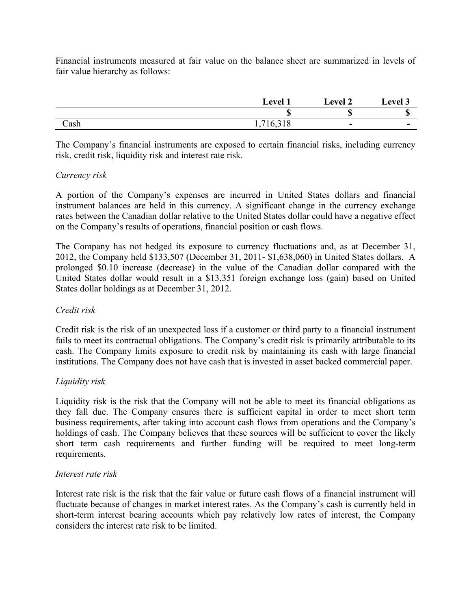Financial instruments measured at fair value on the balance sheet are summarized in levels of fair value hierarchy as follows:

|      | <b>Level</b> T     | <b>Level 2</b> | Level 3                  |
|------|--------------------|----------------|--------------------------|
|      | Ψ                  | œ<br>۱D        | œ<br>Φ                   |
| Cash | $\sim$<br><b>1</b> | $\sim$         | $\overline{\phantom{0}}$ |

The Company's financial instruments are exposed to certain financial risks, including currency risk, credit risk, liquidity risk and interest rate risk.

## *Currency risk*

A portion of the Company's expenses are incurred in United States dollars and financial instrument balances are held in this currency. A significant change in the currency exchange rates between the Canadian dollar relative to the United States dollar could have a negative effect on the Company's results of operations, financial position or cash flows.

The Company has not hedged its exposure to currency fluctuations and, as at December 31, 2012, the Company held \$133,507 (December 31, 2011- \$1,638,060) in United States dollars. A prolonged \$0.10 increase (decrease) in the value of the Canadian dollar compared with the United States dollar would result in a \$13,351 foreign exchange loss (gain) based on United States dollar holdings as at December 31, 2012.

## *Credit risk*

Credit risk is the risk of an unexpected loss if a customer or third party to a financial instrument fails to meet its contractual obligations. The Company's credit risk is primarily attributable to its cash. The Company limits exposure to credit risk by maintaining its cash with large financial institutions. The Company does not have cash that is invested in asset backed commercial paper.

## *Liquidity risk*

Liquidity risk is the risk that the Company will not be able to meet its financial obligations as they fall due. The Company ensures there is sufficient capital in order to meet short term business requirements, after taking into account cash flows from operations and the Company's holdings of cash. The Company believes that these sources will be sufficient to cover the likely short term cash requirements and further funding will be required to meet long-term requirements.

#### *Interest rate risk*

Interest rate risk is the risk that the fair value or future cash flows of a financial instrument will fluctuate because of changes in market interest rates. As the Company's cash is currently held in short-term interest bearing accounts which pay relatively low rates of interest, the Company considers the interest rate risk to be limited.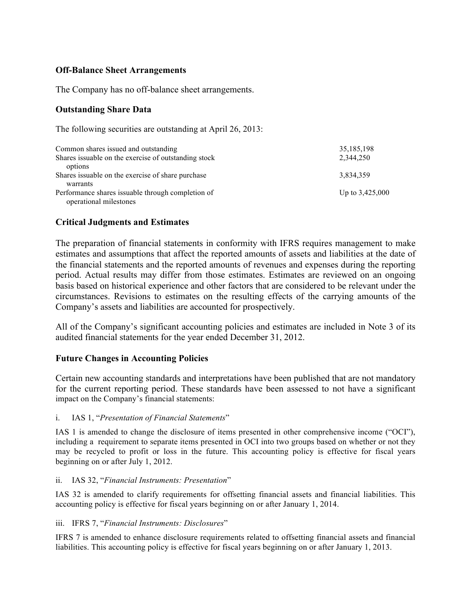## **Off-Balance Sheet Arrangements**

The Company has no off-balance sheet arrangements.

## **Outstanding Share Data**

The following securities are outstanding at April 26, 2013:

| Common shares issued and outstanding                  | 35, 185, 198      |
|-------------------------------------------------------|-------------------|
| Shares is suable on the exercise of outstanding stock | 2,344,250         |
| options                                               |                   |
| Shares is suable on the exercise of share purchase    | 3,834,359         |
| warrants                                              |                   |
| Performance shares issuable through completion of     | Up to $3,425,000$ |
| operational milestones                                |                   |

## **Critical Judgments and Estimates**

The preparation of financial statements in conformity with IFRS requires management to make estimates and assumptions that affect the reported amounts of assets and liabilities at the date of the financial statements and the reported amounts of revenues and expenses during the reporting period. Actual results may differ from those estimates. Estimates are reviewed on an ongoing basis based on historical experience and other factors that are considered to be relevant under the circumstances. Revisions to estimates on the resulting effects of the carrying amounts of the Company's assets and liabilities are accounted for prospectively.

All of the Company's significant accounting policies and estimates are included in Note 3 of its audited financial statements for the year ended December 31, 2012.

## **Future Changes in Accounting Policies**

Certain new accounting standards and interpretations have been published that are not mandatory for the current reporting period. These standards have been assessed to not have a significant impact on the Company's financial statements:

#### i. IAS 1, "*Presentation of Financial Statements*"

IAS 1 is amended to change the disclosure of items presented in other comprehensive income ("OCI"), including a requirement to separate items presented in OCI into two groups based on whether or not they may be recycled to profit or loss in the future. This accounting policy is effective for fiscal years beginning on or after July 1, 2012.

#### ii. IAS 32, "*Financial Instruments: Presentation*"

IAS 32 is amended to clarify requirements for offsetting financial assets and financial liabilities. This accounting policy is effective for fiscal years beginning on or after January 1, 2014.

#### iii. IFRS 7, "*Financial Instruments: Disclosures*"

IFRS 7 is amended to enhance disclosure requirements related to offsetting financial assets and financial liabilities. This accounting policy is effective for fiscal years beginning on or after January 1, 2013.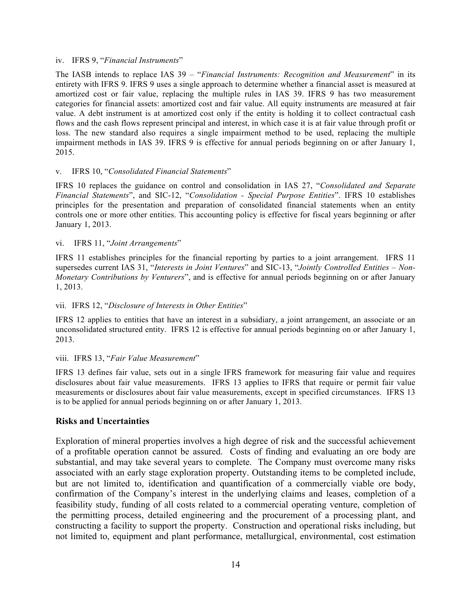#### iv. IFRS 9, "*Financial Instruments*"

The IASB intends to replace IAS 39 – "*Financial Instruments: Recognition and Measurement*" in its entirety with IFRS 9. IFRS 9 uses a single approach to determine whether a financial asset is measured at amortized cost or fair value, replacing the multiple rules in IAS 39. IFRS 9 has two measurement categories for financial assets: amortized cost and fair value. All equity instruments are measured at fair value. A debt instrument is at amortized cost only if the entity is holding it to collect contractual cash flows and the cash flows represent principal and interest, in which case it is at fair value through profit or loss. The new standard also requires a single impairment method to be used, replacing the multiple impairment methods in IAS 39. IFRS 9 is effective for annual periods beginning on or after January 1, 2015.

#### v. IFRS 10, "*Consolidated Financial Statements*"

IFRS 10 replaces the guidance on control and consolidation in IAS 27, "*Consolidated and Separate Financial Statements*", and SIC-12, "*Consolidation - Special Purpose Entities*". IFRS 10 establishes principles for the presentation and preparation of consolidated financial statements when an entity controls one or more other entities. This accounting policy is effective for fiscal years beginning or after January 1, 2013.

#### vi. IFRS 11, "*Joint Arrangements*"

IFRS 11 establishes principles for the financial reporting by parties to a joint arrangement. IFRS 11 supersedes current IAS 31, "*Interests in Joint Ventures*" and SIC-13, "*Jointly Controlled Entities – Non-Monetary Contributions by Venturers*", and is effective for annual periods beginning on or after January 1, 2013.

#### vii. IFRS 12, "*Disclosure of Interests in Other Entities*"

IFRS 12 applies to entities that have an interest in a subsidiary, a joint arrangement, an associate or an unconsolidated structured entity. IFRS 12 is effective for annual periods beginning on or after January 1, 2013.

#### viii. IFRS 13, "*Fair Value Measurement*"

IFRS 13 defines fair value, sets out in a single IFRS framework for measuring fair value and requires disclosures about fair value measurements. IFRS 13 applies to IFRS that require or permit fair value measurements or disclosures about fair value measurements, except in specified circumstances. IFRS 13 is to be applied for annual periods beginning on or after January 1, 2013.

#### **Risks and Uncertainties**

Exploration of mineral properties involves a high degree of risk and the successful achievement of a profitable operation cannot be assured. Costs of finding and evaluating an ore body are substantial, and may take several years to complete. The Company must overcome many risks associated with an early stage exploration property. Outstanding items to be completed include, but are not limited to, identification and quantification of a commercially viable ore body, confirmation of the Company's interest in the underlying claims and leases, completion of a feasibility study, funding of all costs related to a commercial operating venture, completion of the permitting process, detailed engineering and the procurement of a processing plant, and constructing a facility to support the property. Construction and operational risks including, but not limited to, equipment and plant performance, metallurgical, environmental, cost estimation